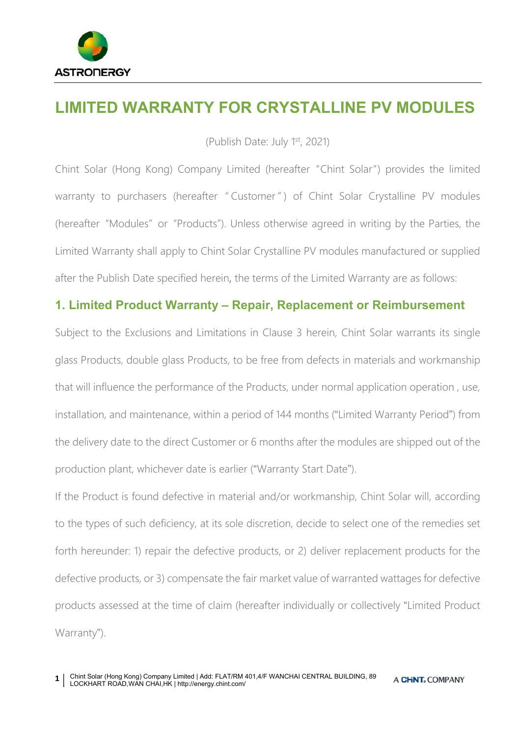

# **LIMITED WARRANTY FOR CRYSTALLINE PV MODULES**

(Publish Date: July 1st, 2021)

Chint Solar (Hong Kong) Company Limited (hereafter "Chint Solar") provides the limited warranty to purchasers (hereafter "Customer") of Chint Solar Crystalline PV modules (hereafter "Modules" or "Products"). Unless otherwise agreed in writing by the Parties, the Limited Warranty shall apply to Chint Solar Crystalline PV modules manufactured or supplied after the Publish Date specified herein, the terms of the Limited Warranty are as follows:

# **1. Limited Product Warranty – Repair, Replacement or Reimbursement**

Subject to the Exclusions and Limitations in Clause 3 herein, Chint Solar warrants its single glass Products, double glass Products, to be free from defects in materials and workmanship that will influence the performance of the Products, under normal application operation , use, installation, and maintenance, within a period of 144 months ("Limited Warranty Period") from the delivery date to the direct Customer or 6 months after the modules are shipped out of the production plant, whichever date is earlier ("Warranty Start Date").

If the Product is found defective in material and/or workmanship, Chint Solar will, according to the types of such deficiency, at its sole discretion, decide to select one of the remedies set forth hereunder: 1) repair the defective products, or 2) deliver replacement products for the defective products, or 3) compensate the fair market value of warranted wattages for defective products assessed at the time of claim (hereafter individually or collectively "Limited Product Warranty").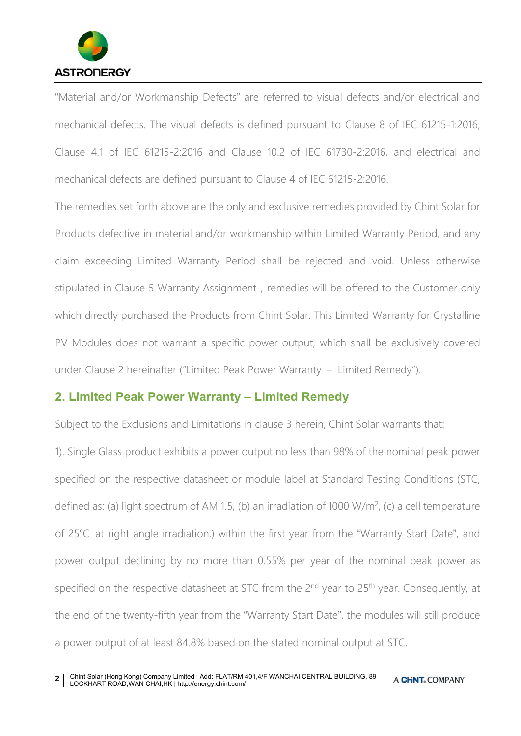

"Material and/or Workmanship Defects" are referred to visual defects and/or electrical and mechanical defects. The visual defects is defined pursuant to Clause 8 of IEC 61215-1:2016, Clause 4.1 of IEC 61215-2:2016 and Clause 10.2 of IEC 61730-2:2016, and electrical and mechanical defects are defined pursuant to Clause 4 of IEC 61215-2:2016.

The remedies set forth above are the only and exclusive remedies provided by Chint Solar for Products defective in material and/or workmanship within Limited Warranty Period, and any claim exceeding Limited Warranty Period shall be rejected and void. Unless otherwise stipulated in Clause 5 Warranty Assignment, remedies will be offered to the Customer only which directly purchased the Products from Chint Solar. This Limited Warranty for Crystalline PV Modules does not warrant a specific power output, which shall be exclusively covered under Clause 2 hereinafter ("Limited Peak Power Warranty – Limited Remedy").

#### **2. Limited Peak Power Warranty – Limited Remedy**

Subject to the Exclusions and Limitations in clause 3 herein, Chint Solar warrants that:

1). Single Glass product exhibits a power output no less than 98% of the nominal peak power specified on the respective datasheet or module label at Standard Testing Conditions (STC, defined as: (a) light spectrum of AM 1.5, (b) an irradiation of 1000 W/m<sup>2</sup>, (c) a cell temperature of 25℃ at right angle irradiation.) within the first year from the "Warranty Start Date", and power output declining by no more than 0.55% per year of the nominal peak power as specified on the respective datasheet at STC from the 2<sup>nd</sup> year to 25<sup>th</sup> year. Consequently, at the end of the twenty-fifth year from the "Warranty Start Date", the modules will still produce a power output of at least 84.8% based on the stated nominal output at STC.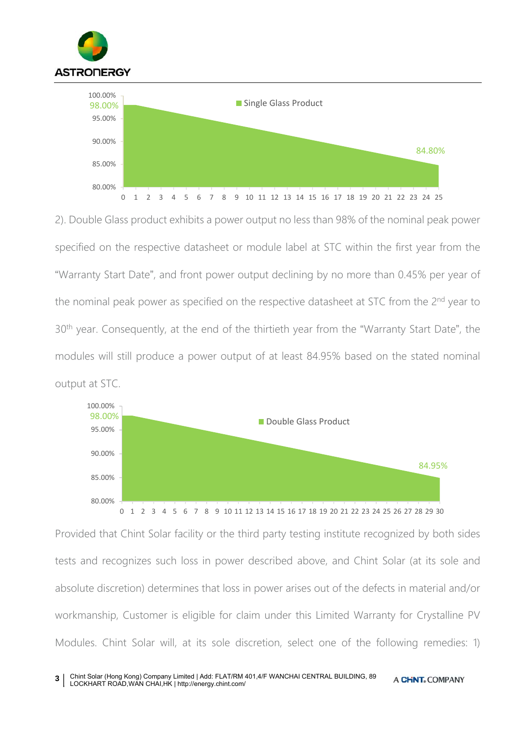

2). Double Glass product exhibits a power output no less than 98% of the nominal peak power specified on the respective datasheet or module label at STC within the first year from the "Warranty Start Date", and front power output declining by no more than 0.45% per year of the nominal peak power as specified on the respective datasheet at STC from the 2<sup>nd</sup> year to 30<sup>th</sup> year. Consequently, at the end of the thirtieth year from the "Warranty Start Date", the modules will still produce a power output of at least 84.95% based on the stated nominal output at STC.



Provided that Chint Solar facility or the third party testing institute recognized by both sides tests and recognizes such loss in power described above, and Chint Solar (at its sole and absolute discretion) determines that loss in power arises out of the defects in material and/or workmanship, Customer is eligible for claim under this Limited Warranty for Crystalline PV Modules. Chint Solar will, at its sole discretion, select one of the following remedies: 1)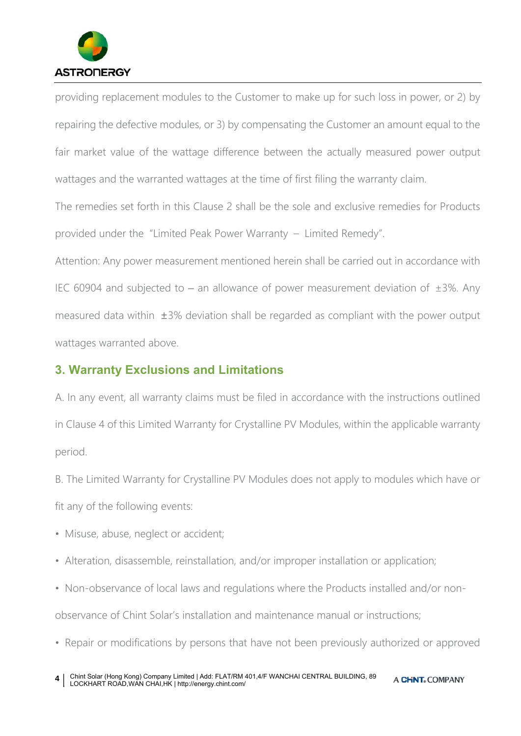

providing replacement modules to the Customer to make up for such loss in power, or 2) by repairing the defective modules, or 3) by compensating the Customer an amount equal to the fair market value of the wattage difference between the actually measured power output wattages and the warranted wattages at the time of first filing the warranty claim.

The remedies set forth in this Clause 2 shall be the sole and exclusive remedies for Products provided under the "Limited Peak Power Warranty – Limited Remedy".

Attention: Any power measurement mentioned herein shall be carried out in accordance with IEC 60904 and subjected to – an allowance of power measurement deviation of  $\pm 3\%$ . Any measured data within ±3% deviation shall be regarded as compliant with the power output wattages warranted above.

#### **3. Warranty Exclusions and Limitations**

A. In any event, all warranty claims must be filed in accordance with the instructions outlined in Clause 4 of this Limited Warranty for Crystalline PV Modules, within the applicable warranty period.

B. The Limited Warranty for Crystalline PV Modules does not apply to modules which have or fit any of the following events:

- Misuse, abuse, neglect or accident;
- Alteration, disassemble, reinstallation, and/or improper installation or application;
- Non-observance of local laws and regulations where the Products installed and/or non-

observance of Chint Solar's installation and maintenance manual or instructions;

• Repair or modifications by persons that have not been previously authorized or approved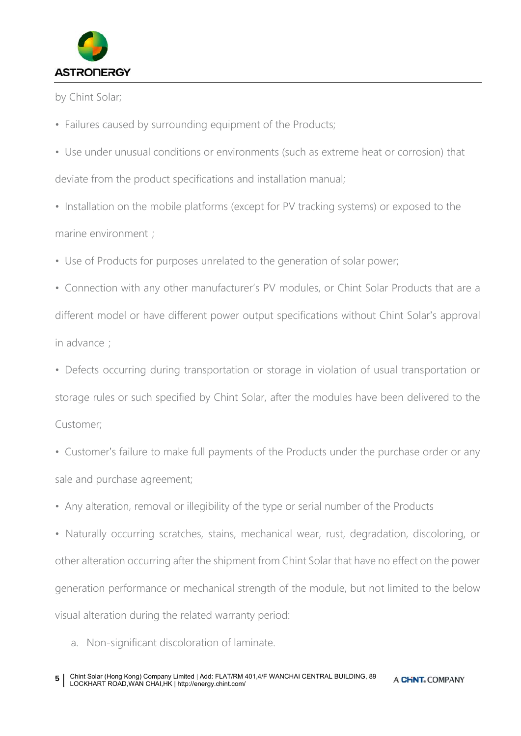

by Chint Solar;

- Failures caused by surrounding equipment of the Products;
- Use under unusual conditions or environments (such as extreme heat or corrosion) that deviate from the product specifications and installation manual;
- Installation on the mobile platforms (except for PV tracking systems) or exposed to the marine environment;
- Use of Products for purposes unrelated to the generation of solar power;
- Connection with any other manufacturer's PV modules, or Chint Solar Products that are a different model or have different power output specifications without Chint Solar's approval in advance ;
- Defects occurring during transportation or storage in violation of usual transportation or storage rules or such specified by Chint Solar, after the modules have been delivered to the Customer;
- Customer's failure to make full payments of the Products under the purchase order or any sale and purchase agreement;
- Any alteration, removal or illegibility of the type or serial number of the Products

• Naturally occurring scratches, stains, mechanical wear, rust, degradation, discoloring, or other alteration occurring after the shipment from Chint Solar that have no effect on the power generation performance or mechanical strength of the module, but not limited to the below visual alteration during the related warranty period:

a. Non-significant discoloration of laminate.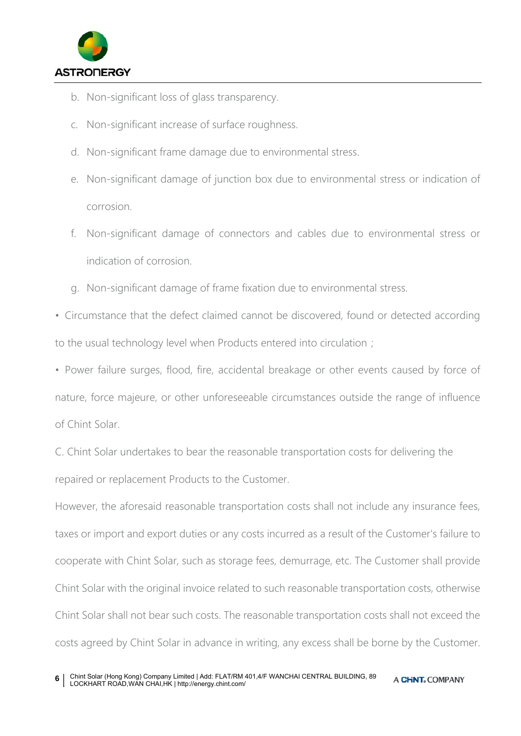

- b. Non-significant loss of glass transparency.
- c. Non-significant increase of surface roughness.
- d. Non-significant frame damage due to environmental stress.
- e. Non-significant damage of junction box due to environmental stress or indication of corrosion.
- f. Non-significant damage of connectors and cables due to environmental stress or indication of corrosion.
- g. Non-significant damage of frame fixation due to environmental stress.
- Circumstance that the defect claimed cannot be discovered, found or detected according to the usual technology level when Products entered into circulation;
- Power failure surges, flood, fire, accidental breakage or other events caused by force of nature, force majeure, or other unforeseeable circumstances outside the range of influence of Chint Solar.
- C. Chint Solar undertakes to bear the reasonable transportation costs for delivering the repaired or replacement Products to the Customer.

However, the aforesaid reasonable transportation costs shall not include any insurance fees, taxes or import and export duties or any costs incurred as a result of the Customer's failure to cooperate with Chint Solar, such as storage fees, demurrage, etc. The Customer shall provide Chint Solar with the original invoice related to such reasonable transportation costs, otherwise Chint Solar shall not bear such costs. The reasonable transportation costs shall not exceed the costs agreed by Chint Solar in advance in writing, any excess shall be borne by the Customer.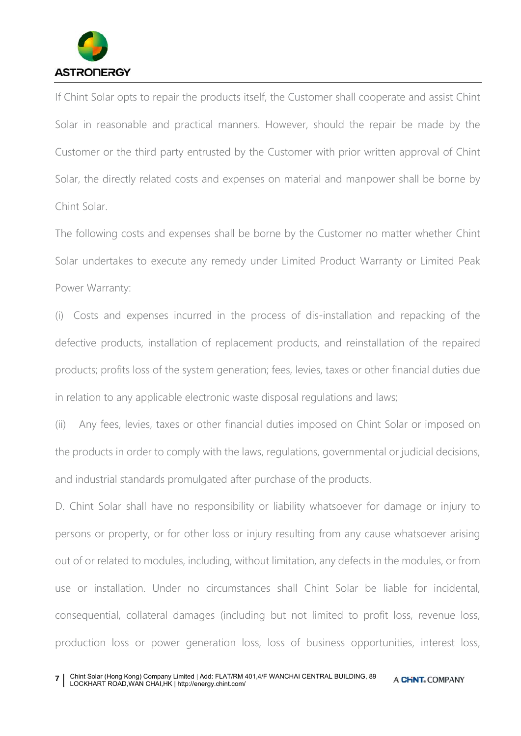

If Chint Solar opts to repair the products itself, the Customer shall cooperate and assist Chint Solar in reasonable and practical manners. However, should the repair be made by the Customer or the third party entrusted by the Customer with prior written approval of Chint Solar, the directly related costs and expenses on material and manpower shall be borne by Chint Solar.

The following costs and expenses shall be borne by the Customer no matter whether Chint Solar undertakes to execute any remedy under Limited Product Warranty or Limited Peak Power Warranty:

(i) Costs and expenses incurred in the process of dis-installation and repacking of the defective products, installation of replacement products, and reinstallation of the repaired products; profits loss of the system generation; fees, levies, taxes or other financial duties due in relation to any applicable electronic waste disposal regulations and laws;

(ii) Any fees, levies, taxes or other financial duties imposed on Chint Solar or imposed on the products in order to comply with the laws, regulations, governmental or judicial decisions, and industrial standards promulgated after purchase of the products.

D. Chint Solar shall have no responsibility or liability whatsoever for damage or injury to persons or property, or for other loss or injury resulting from any cause whatsoever arising out of or related to modules, including, without limitation, any defects in the modules, or from use or installation. Under no circumstances shall Chint Solar be liable for incidental, consequential, collateral damages (including but not limited to profit loss, revenue loss, production loss or power generation loss, loss of business opportunities, interest loss,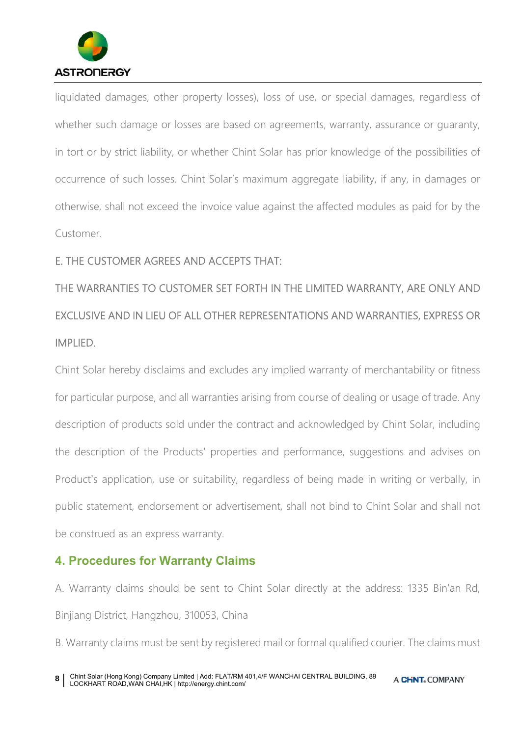

liquidated damages, other property losses), loss of use, or special damages, regardless of whether such damage or losses are based on agreements, warranty, assurance or guaranty, in tort or by strict liability, or whether Chint Solar has prior knowledge of the possibilities of occurrence of such losses. Chint Solar's maximum aggregate liability, if any, in damages or otherwise, shall not exceed the invoice value against the affected modules as paid for by the Customer.

#### E. THE CUSTOMER AGREES AND ACCEPTS THAT:

THE WARRANTIES TO CUSTOMER SET FORTH IN THE LIMITED WARRANTY, ARE ONLY AND EXCLUSIVE AND IN LIEU OF ALL OTHER REPRESENTATIONS AND WARRANTIES, EXPRESS OR IMPLIED.

Chint Solar hereby disclaims and excludes any implied warranty of merchantability or fitness for particular purpose, and all warranties arising from course of dealing or usage of trade. Any description of products sold under the contract and acknowledged by Chint Solar, including the description of the Products' properties and performance, suggestions and advises on Product's application, use or suitability, regardless of being made in writing or verbally, in public statement, endorsement or advertisement, shall not bind to Chint Solar and shall not be construed as an express warranty.

## **4. Procedures for Warranty Claims**

A. Warranty claims should be sent to Chint Solar directly at the address: 1335 Bin'an Rd, Binjiang District, Hangzhou, 310053, China

B. Warranty claims must be sent by registered mail or formal qualified courier. The claims must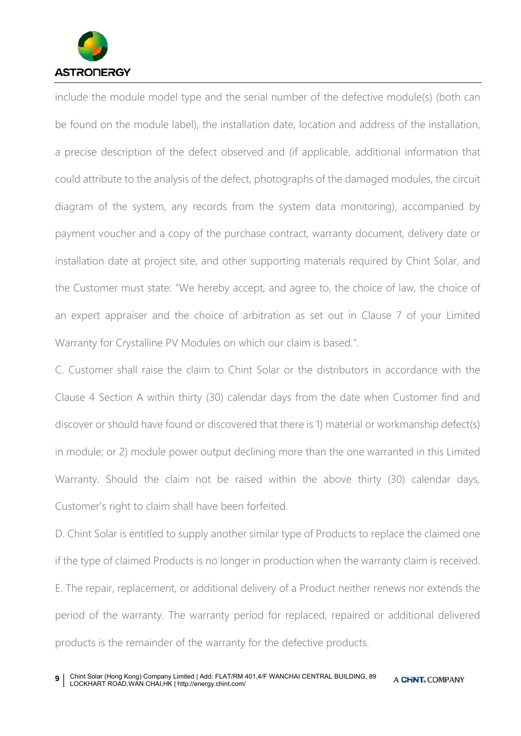

include the module model type and the serial number of the defective module(s) (both can be found on the module label), the installation date, location and address of the installation, a precise description of the defect observed and (if applicable, additional information that could attribute to the analysis of the defect, photographs of the damaged modules, the circuit diagram of the system, any records from the system data monitoring), accompanied by payment voucher and a copy of the purchase contract, warranty document, delivery date or installation date at project site, and other supporting materials required by Chint Solar, and the Customer must state: "We hereby accept, and agree to, the choice of law, the choice of an expert appraiser and the choice of arbitration as set out in Clause 7 of your Limited Warranty for Crystalline PV Modules on which our claim is based.".

C. Customer shall raise the claim to Chint Solar or the distributors in accordance with the Clause 4 Section A within thirty (30) calendar days from the date when Customer find and discover or should have found or discovered that there is 1) material or workmanship defect(s) in module; or 2) module power output declining more than the one warranted in this Limited Warranty. Should the claim not be raised within the above thirty (30) calendar days, Customer's right to claim shall have been forfeited.

D. Chint Solar is entitled to supply another similar type of Products to replace the claimed one if the type of claimed Products is no longer in production when the warranty claim is received. E. The repair, replacement, or additional delivery of a Product neither renews nor extends the period of the warranty. The warranty period for replaced, repaired or additional delivered products is the remainder of the warranty for the defective products.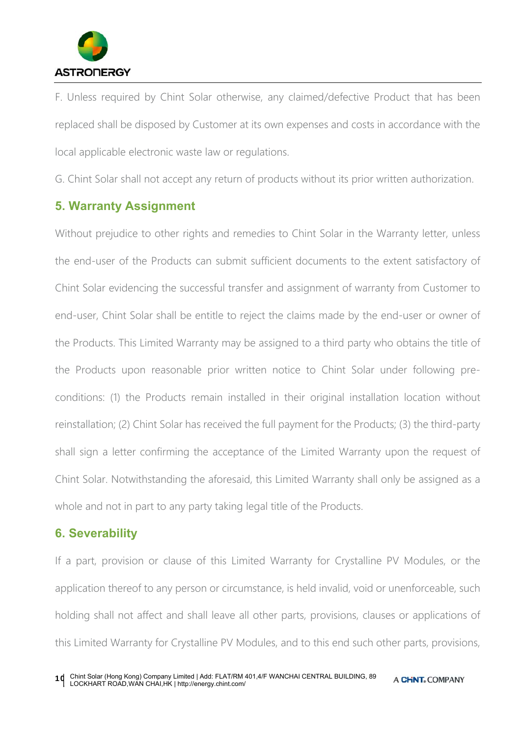

F. Unless required by Chint Solar otherwise, any claimed/defective Product that has been replaced shall be disposed by Customer at its own expenses and costs in accordance with the local applicable electronic waste law or regulations.

G. Chint Solar shall not accept any return of products without its prior written authorization.

# **5. Warranty Assignment**

Without prejudice to other rights and remedies to Chint Solar in the Warranty letter, unless the end-user of the Products can submit sufficient documents to the extent satisfactory of Chint Solar evidencing the successful transfer and assignment of warranty from Customer to end-user, Chint Solar shall be entitle to reject the claims made by the end-user or owner of the Products. This Limited Warranty may be assigned to a third party who obtains the title of the Products upon reasonable prior written notice to Chint Solar under following preconditions: (1) the Products remain installed in their original installation location without reinstallation; (2) Chint Solar has received the full payment for the Products; (3) the third-party shall sign a letter confirming the acceptance of the Limited Warranty upon the request of Chint Solar. Notwithstanding the aforesaid, this Limited Warranty shall only be assigned as a whole and not in part to any party taking legal title of the Products.

## **6. Severability**

If a part, provision or clause of this Limited Warranty for Crystalline PV Modules, or the application thereof to any person or circumstance, is held invalid, void or unenforceable, such holding shall not affect and shall leave all other parts, provisions, clauses or applications of this Limited Warranty for Crystalline PV Modules, and to this end such other parts, provisions,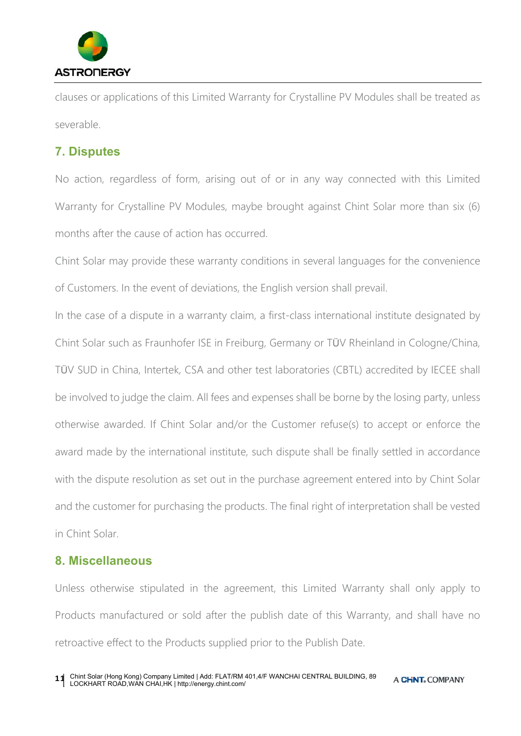

clauses or applications of this Limited Warranty for Crystalline PV Modules shall be treated as severable.

#### **7. Disputes**

No action, regardless of form, arising out of or in any way connected with this Limited Warranty for Crystalline PV Modules, maybe brought against Chint Solar more than six (6) months after the cause of action has occurred.

Chint Solar may provide these warranty conditions in several languages for the convenience of Customers. In the event of deviations, the English version shall prevail.

In the case of a dispute in a warranty claim, a first-class international institute designated by Chint Solar such as Fraunhofer ISE in Freiburg, Germany or TÜV Rheinland in Cologne/China, TÜV SUD in China, Intertek, CSA and other test laboratories (CBTL) accredited by IECEE shall be involved to judge the claim. All fees and expenses shall be borne by the losing party, unless otherwise awarded. If Chint Solar and/or the Customer refuse(s) to accept or enforce the award made by the international institute, such dispute shall be finally settled in accordance with the dispute resolution as set out in the purchase agreement entered into by Chint Solar and the customer for purchasing the products. The final right of interpretation shall be vested in Chint Solar.

## **8. Miscellaneous**

Unless otherwise stipulated in the agreement, this Limited Warranty shall only apply to Products manufactured or sold after the publish date of this Warranty, and shall have no retroactive effect to the Products supplied prior to the Publish Date.